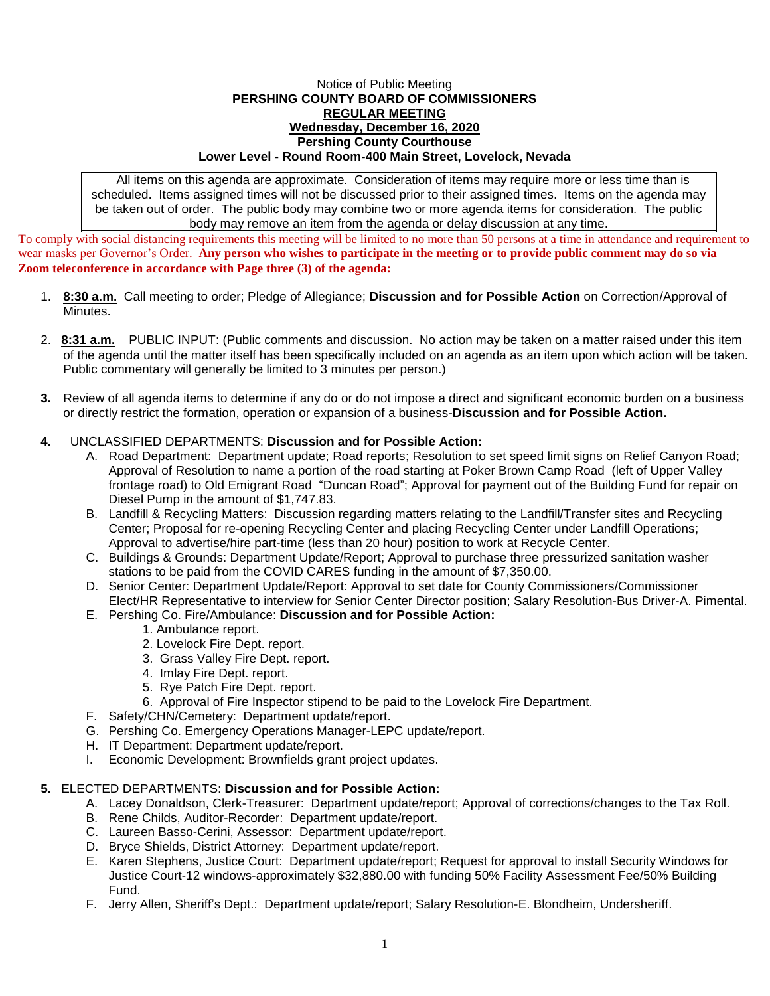#### Notice of Public Meeting **PERSHING COUNTY BOARD OF COMMISSIONERS REGULAR MEETING Wednesday, December 16, 2020 Pershing County Courthouse Lower Level - Round Room-400 Main Street, Lovelock, Nevada**

All items on this agenda are approximate. Consideration of items may require more or less time than is scheduled. Items assigned times will not be discussed prior to their assigned times. Items on the agenda may be taken out of order. The public body may combine two or more agenda items for consideration. The public body may remove an item from the agenda or delay discussion at any time.

To comply with social distancing requirements this meeting will be limited to no more than 50 persons at a time in attendance and requirement to wear masks per Governor's Order. **Any person who wishes to participate in the meeting or to provide public comment may do so via Zoom teleconference in accordance with Page three (3) of the agenda:** 

- 1. **8:30 a.m.** Call meeting to order; Pledge of Allegiance; **Discussion and for Possible Action** on Correction/Approval of Minutes.
- 2. **8:31 a.m.** PUBLIC INPUT: (Public comments and discussion. No action may be taken on a matter raised under this item of the agenda until the matter itself has been specifically included on an agenda as an item upon which action will be taken. Public commentary will generally be limited to 3 minutes per person.)
- **3.** Review of all agenda items to determine if any do or do not impose a direct and significant economic burden on a business or directly restrict the formation, operation or expansion of a business-**Discussion and for Possible Action.**

# **4.** UNCLASSIFIED DEPARTMENTS: **Discussion and for Possible Action:**

- A. Road Department: Department update; Road reports; Resolution to set speed limit signs on Relief Canyon Road; Approval of Resolution to name a portion of the road starting at Poker Brown Camp Road (left of Upper Valley frontage road) to Old Emigrant Road "Duncan Road"; Approval for payment out of the Building Fund for repair on Diesel Pump in the amount of \$1,747.83.
- B. Landfill & Recycling Matters: Discussion regarding matters relating to the Landfill/Transfer sites and Recycling Center; Proposal for re-opening Recycling Center and placing Recycling Center under Landfill Operations; Approval to advertise/hire part-time (less than 20 hour) position to work at Recycle Center.
- C. Buildings & Grounds: Department Update/Report; Approval to purchase three pressurized sanitation washer stations to be paid from the COVID CARES funding in the amount of \$7,350.00.
- D. Senior Center: Department Update/Report: Approval to set date for County Commissioners/Commissioner Elect/HR Representative to interview for Senior Center Director position; Salary Resolution-Bus Driver-A. Pimental.

## E. Pershing Co. Fire/Ambulance: **Discussion and for Possible Action:**

- 1. Ambulance report.
- 2. Lovelock Fire Dept. report.
- 3. Grass Valley Fire Dept. report.
- 4. Imlay Fire Dept. report.
- 5. Rye Patch Fire Dept. report.
- 6. Approval of Fire Inspector stipend to be paid to the Lovelock Fire Department.
- F. Safety/CHN/Cemetery: Department update/report.
- G. Pershing Co. Emergency Operations Manager-LEPC update/report.
- H. IT Department: Department update/report.
- I. Economic Development: Brownfields grant project updates.

## **5.** ELECTED DEPARTMENTS: **Discussion and for Possible Action:**

- A. Lacey Donaldson, Clerk-Treasurer: Department update/report; Approval of corrections/changes to the Tax Roll.
- B. Rene Childs, Auditor-Recorder: Department update/report.
- C. Laureen Basso-Cerini, Assessor: Department update/report.
- D. Bryce Shields, District Attorney: Department update/report.
- E. Karen Stephens, Justice Court: Department update/report; Request for approval to install Security Windows for Justice Court-12 windows-approximately \$32,880.00 with funding 50% Facility Assessment Fee/50% Building Fund.
- F. Jerry Allen, Sheriff's Dept.: Department update/report; Salary Resolution-E. Blondheim, Undersheriff.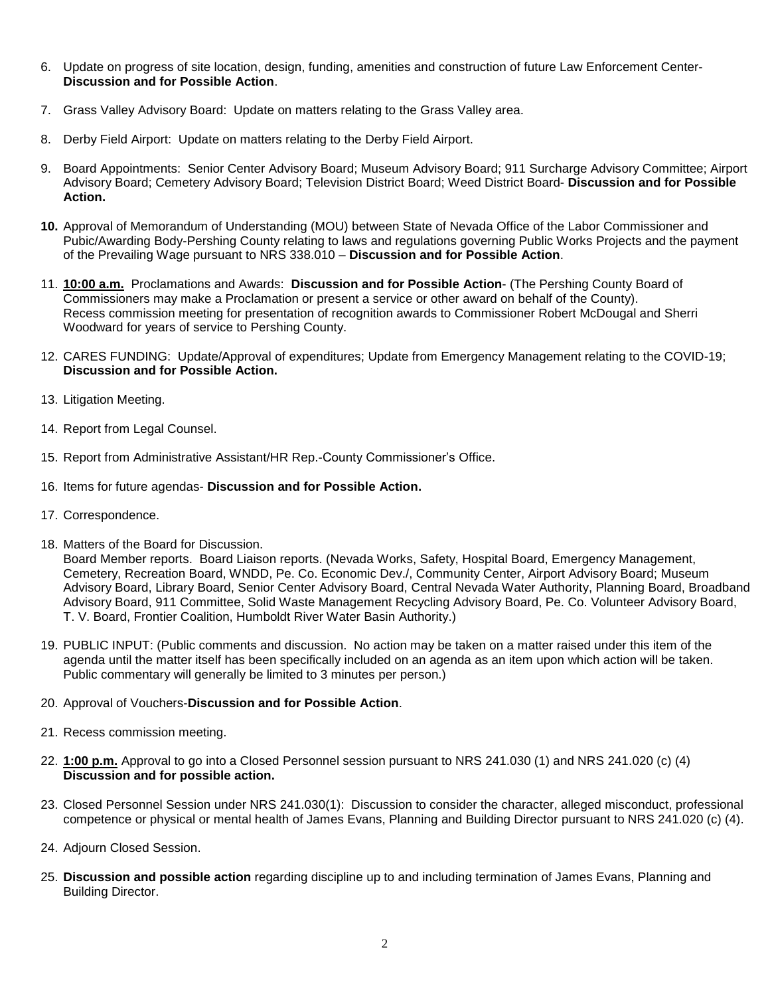- 6. Update on progress of site location, design, funding, amenities and construction of future Law Enforcement Center-**Discussion and for Possible Action**.
- 7. Grass Valley Advisory Board: Update on matters relating to the Grass Valley area.
- 8. Derby Field Airport: Update on matters relating to the Derby Field Airport.
- 9. Board Appointments: Senior Center Advisory Board; Museum Advisory Board; 911 Surcharge Advisory Committee; Airport Advisory Board; Cemetery Advisory Board; Television District Board; Weed District Board- **Discussion and for Possible Action.**
- **10.** Approval of Memorandum of Understanding (MOU) between State of Nevada Office of the Labor Commissioner and Pubic/Awarding Body-Pershing County relating to laws and regulations governing Public Works Projects and the payment of the Prevailing Wage pursuant to NRS 338.010 – **Discussion and for Possible Action**.
- 11. **10:00 a.m.** Proclamations and Awards: **Discussion and for Possible Action** (The Pershing County Board of Commissioners may make a Proclamation or present a service or other award on behalf of the County). Recess commission meeting for presentation of recognition awards to Commissioner Robert McDougal and Sherri Woodward for years of service to Pershing County.
- 12. CARES FUNDING: Update/Approval of expenditures; Update from Emergency Management relating to the COVID-19; **Discussion and for Possible Action.**
- 13. Litigation Meeting.
- 14. Report from Legal Counsel.
- 15. Report from Administrative Assistant/HR Rep.-County Commissioner's Office.
- 16. Items for future agendas- **Discussion and for Possible Action.**
- 17. Correspondence.
- 18. Matters of the Board for Discussion.

Board Member reports. Board Liaison reports. (Nevada Works, Safety, Hospital Board, Emergency Management, Cemetery, Recreation Board, WNDD, Pe. Co. Economic Dev./, Community Center, Airport Advisory Board; Museum Advisory Board, Library Board, Senior Center Advisory Board, Central Nevada Water Authority, Planning Board, Broadband Advisory Board, 911 Committee, Solid Waste Management Recycling Advisory Board, Pe. Co. Volunteer Advisory Board, T. V. Board, Frontier Coalition, Humboldt River Water Basin Authority.)

- 19. PUBLIC INPUT: (Public comments and discussion. No action may be taken on a matter raised under this item of the agenda until the matter itself has been specifically included on an agenda as an item upon which action will be taken. Public commentary will generally be limited to 3 minutes per person.)
- 20. Approval of Vouchers-**Discussion and for Possible Action**.
- 21. Recess commission meeting.
- 22. **1:00 p.m.** Approval to go into a Closed Personnel session pursuant to NRS 241.030 (1) and NRS 241.020 (c) (4) **Discussion and for possible action.**
- 23. Closed Personnel Session under NRS 241.030(1): Discussion to consider the character, alleged misconduct, professional competence or physical or mental health of James Evans, Planning and Building Director pursuant to NRS 241.020 (c) (4).
- 24. Adjourn Closed Session.
- 25. **Discussion and possible action** regarding discipline up to and including termination of James Evans, Planning and Building Director.